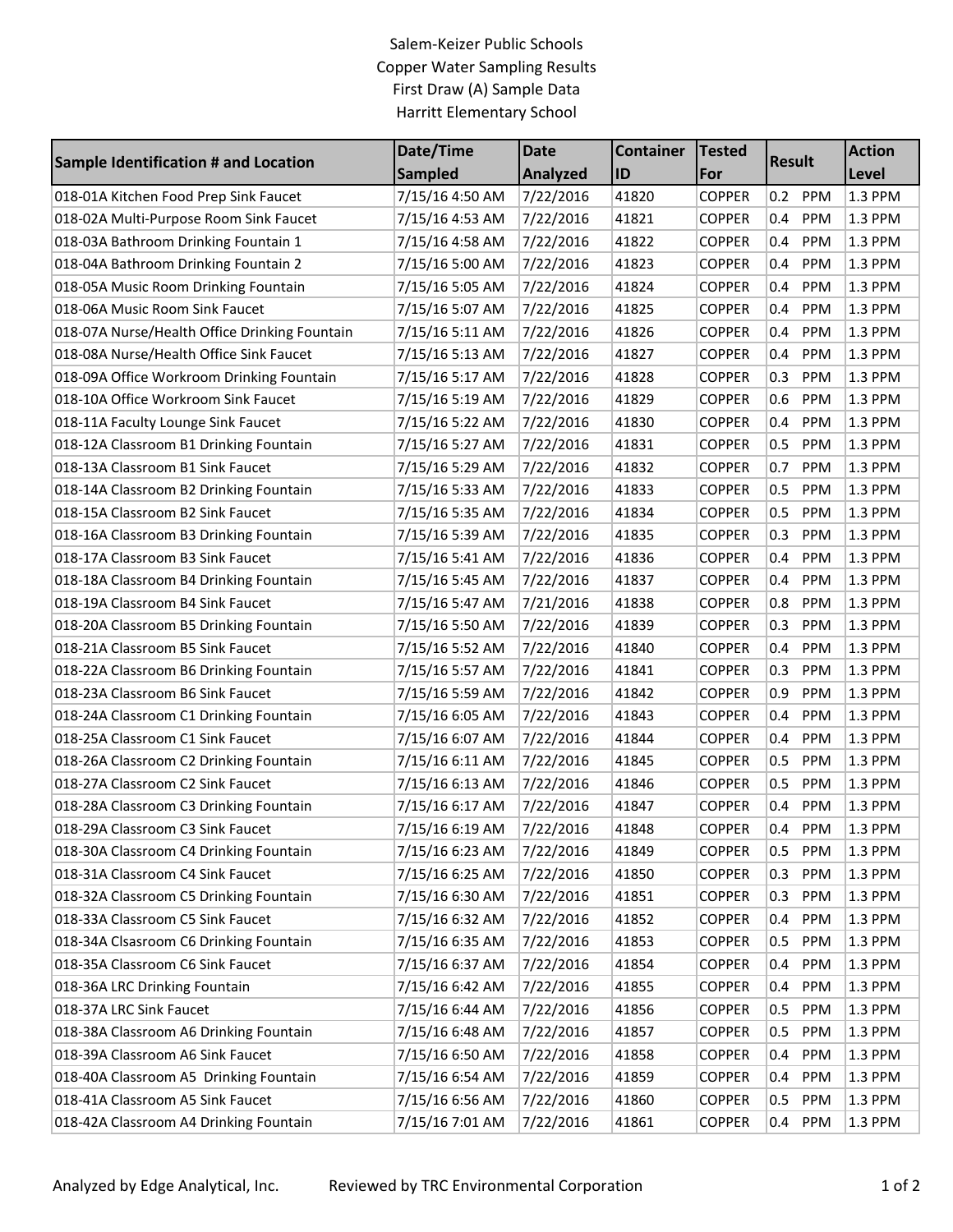## Salem-Keizer Public Schools Copper Water Sampling Results First Draw (A) Sample Data Harritt Elementary School

|                                               | Date/Time       | <b>Date</b> | <b>Container</b> | <b>Tested</b> |                   | <b>Action</b> |
|-----------------------------------------------|-----------------|-------------|------------------|---------------|-------------------|---------------|
| <b>Sample Identification # and Location</b>   | <b>Sampled</b>  | Analyzed    | ID               | For           | <b>Result</b>     | Level         |
| 018-01A Kitchen Food Prep Sink Faucet         | 7/15/16 4:50 AM | 7/22/2016   | 41820            | <b>COPPER</b> | PPM<br>0.2        | 1.3 PPM       |
| 018-02A Multi-Purpose Room Sink Faucet        | 7/15/16 4:53 AM | 7/22/2016   | 41821            | <b>COPPER</b> | PPM<br>0.4        | 1.3 PPM       |
| 018-03A Bathroom Drinking Fountain 1          | 7/15/16 4:58 AM | 7/22/2016   | 41822            | <b>COPPER</b> | PPM<br>0.4        | 1.3 PPM       |
| 018-04A Bathroom Drinking Fountain 2          | 7/15/16 5:00 AM | 7/22/2016   | 41823            | <b>COPPER</b> | PPM<br>0.4        | 1.3 PPM       |
| 018-05A Music Room Drinking Fountain          | 7/15/16 5:05 AM | 7/22/2016   | 41824            | <b>COPPER</b> | PPM<br>0.4        | 1.3 PPM       |
| 018-06A Music Room Sink Faucet                | 7/15/16 5:07 AM | 7/22/2016   | 41825            | <b>COPPER</b> | PPM<br>0.4        | 1.3 PPM       |
| 018-07A Nurse/Health Office Drinking Fountain | 7/15/16 5:11 AM | 7/22/2016   | 41826            | <b>COPPER</b> | PPM<br>0.4        | 1.3 PPM       |
| 018-08A Nurse/Health Office Sink Faucet       | 7/15/16 5:13 AM | 7/22/2016   | 41827            | <b>COPPER</b> | 0.4<br>PPM        | 1.3 PPM       |
| 018-09A Office Workroom Drinking Fountain     | 7/15/16 5:17 AM | 7/22/2016   | 41828            | <b>COPPER</b> | 0.3<br>PPM        | 1.3 PPM       |
| 018-10A Office Workroom Sink Faucet           | 7/15/16 5:19 AM | 7/22/2016   | 41829            | <b>COPPER</b> | PPM<br>0.6        | 1.3 PPM       |
| 018-11A Faculty Lounge Sink Faucet            | 7/15/16 5:22 AM | 7/22/2016   | 41830            | <b>COPPER</b> | 0.4<br>PPM        | 1.3 PPM       |
| 018-12A Classroom B1 Drinking Fountain        | 7/15/16 5:27 AM | 7/22/2016   | 41831            | <b>COPPER</b> | PPM<br>0.5        | 1.3 PPM       |
| 018-13A Classroom B1 Sink Faucet              | 7/15/16 5:29 AM | 7/22/2016   | 41832            | <b>COPPER</b> | PPM<br>0.7        | 1.3 PPM       |
| 018-14A Classroom B2 Drinking Fountain        | 7/15/16 5:33 AM | 7/22/2016   | 41833            | <b>COPPER</b> | PPM<br>0.5        | 1.3 PPM       |
| 018-15A Classroom B2 Sink Faucet              | 7/15/16 5:35 AM | 7/22/2016   | 41834            | <b>COPPER</b> | 0.5<br>PPM        | 1.3 PPM       |
| 018-16A Classroom B3 Drinking Fountain        | 7/15/16 5:39 AM | 7/22/2016   | 41835            | <b>COPPER</b> | 0.3<br>PPM        | 1.3 PPM       |
| 018-17A Classroom B3 Sink Faucet              | 7/15/16 5:41 AM | 7/22/2016   | 41836            | <b>COPPER</b> | PPM<br>0.4        | 1.3 PPM       |
| 018-18A Classroom B4 Drinking Fountain        | 7/15/16 5:45 AM | 7/22/2016   | 41837            | <b>COPPER</b> | PPM<br>0.4        | 1.3 PPM       |
| 018-19A Classroom B4 Sink Faucet              | 7/15/16 5:47 AM | 7/21/2016   | 41838            | <b>COPPER</b> | 0.8<br>PPM        | 1.3 PPM       |
| 018-20A Classroom B5 Drinking Fountain        | 7/15/16 5:50 AM | 7/22/2016   | 41839            | <b>COPPER</b> | 0.3<br>PPM        | 1.3 PPM       |
| 018-21A Classroom B5 Sink Faucet              | 7/15/16 5:52 AM | 7/22/2016   | 41840            | <b>COPPER</b> | PPM<br>0.4        | 1.3 PPM       |
| 018-22A Classroom B6 Drinking Fountain        | 7/15/16 5:57 AM | 7/22/2016   | 41841            | <b>COPPER</b> | PPM<br>0.3        | 1.3 PPM       |
| 018-23A Classroom B6 Sink Faucet              | 7/15/16 5:59 AM | 7/22/2016   | 41842            | <b>COPPER</b> | 0.9<br>PPM        | 1.3 PPM       |
| 018-24A Classroom C1 Drinking Fountain        | 7/15/16 6:05 AM | 7/22/2016   | 41843            | <b>COPPER</b> | PPM<br>0.4        | 1.3 PPM       |
| 018-25A Classroom C1 Sink Faucet              | 7/15/16 6:07 AM | 7/22/2016   | 41844            | <b>COPPER</b> | PPM<br>0.4        | 1.3 PPM       |
| 018-26A Classroom C2 Drinking Fountain        | 7/15/16 6:11 AM | 7/22/2016   | 41845            | <b>COPPER</b> | 0.5<br>PPM        | 1.3 PPM       |
| 018-27A Classroom C2 Sink Faucet              | 7/15/16 6:13 AM | 7/22/2016   | 41846            | <b>COPPER</b> | 0.5<br>PPM        | 1.3 PPM       |
| 018-28A Classroom C3 Drinking Fountain        | 7/15/16 6:17 AM | 7/22/2016   | 41847            | <b>COPPER</b> | PPM<br>0.4        | 1.3 PPM       |
| 018-29A Classroom C3 Sink Faucet              | 7/15/16 6:19 AM | 7/22/2016   | 41848            | <b>COPPER</b> | 0.4<br>PPM        | $1.3$ PPM     |
| 018-30A Classroom C4 Drinking Fountain        | 7/15/16 6:23 AM | 7/22/2016   | 41849            | <b>COPPER</b> | 0.5 PPM           | 1.3 PPM       |
| 018-31A Classroom C4 Sink Faucet              | 7/15/16 6:25 AM | 7/22/2016   | 41850            | <b>COPPER</b> | <b>PPM</b><br>0.3 | 1.3 PPM       |
| 018-32A Classroom C5 Drinking Fountain        | 7/15/16 6:30 AM | 7/22/2016   | 41851            | <b>COPPER</b> | PPM<br>0.3        | 1.3 PPM       |
| 018-33A Classroom C5 Sink Faucet              | 7/15/16 6:32 AM | 7/22/2016   | 41852            | <b>COPPER</b> | PPM<br>0.4        | 1.3 PPM       |
| 018-34A Clsasroom C6 Drinking Fountain        | 7/15/16 6:35 AM | 7/22/2016   | 41853            | <b>COPPER</b> | <b>PPM</b><br>0.5 | 1.3 PPM       |
| 018-35A Classroom C6 Sink Faucet              | 7/15/16 6:37 AM | 7/22/2016   | 41854            | <b>COPPER</b> | <b>PPM</b><br>0.4 | 1.3 PPM       |
| 018-36A LRC Drinking Fountain                 | 7/15/16 6:42 AM | 7/22/2016   | 41855            | <b>COPPER</b> | <b>PPM</b><br>0.4 | 1.3 PPM       |
| 018-37A LRC Sink Faucet                       | 7/15/16 6:44 AM | 7/22/2016   | 41856            | <b>COPPER</b> | 0.5<br><b>PPM</b> | 1.3 PPM       |
| 018-38A Classroom A6 Drinking Fountain        | 7/15/16 6:48 AM | 7/22/2016   | 41857            | <b>COPPER</b> | PPM<br>0.5        | 1.3 PPM       |
| 018-39A Classroom A6 Sink Faucet              | 7/15/16 6:50 AM | 7/22/2016   | 41858            | <b>COPPER</b> | PPM<br>0.4        | 1.3 PPM       |
| 018-40A Classroom A5 Drinking Fountain        | 7/15/16 6:54 AM | 7/22/2016   | 41859            | <b>COPPER</b> | 0.4<br><b>PPM</b> | 1.3 PPM       |
| 018-41A Classroom A5 Sink Faucet              | 7/15/16 6:56 AM | 7/22/2016   | 41860            | <b>COPPER</b> | PPM<br>0.5        | 1.3 PPM       |
| 018-42A Classroom A4 Drinking Fountain        | 7/15/16 7:01 AM | 7/22/2016   | 41861            | <b>COPPER</b> | PPM<br>0.4        | $1.3$ PPM     |